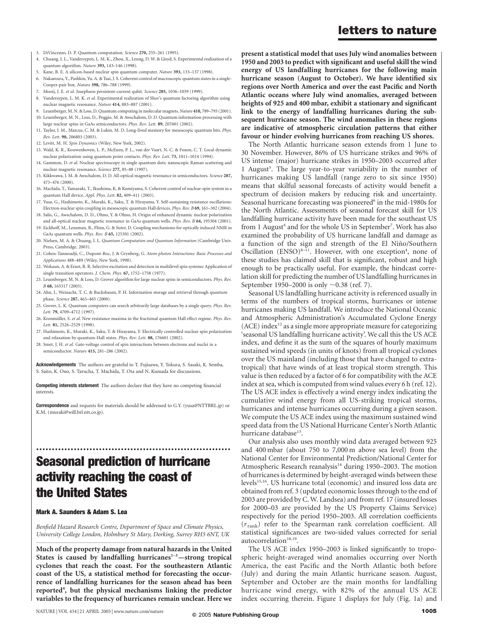- 3. DiVincenzo, D. P. Quantum computation. Science 270, 255–261 (1995).
- 4. Chuang, I. L., Vandersypen, L. M. K., Zhou, X., Leung, D. W. & Lloyd, S. Experimental realization of a quantum algorithm. Nature 393, 143–146 (1998).
- 5. Kane, B. E. A silicon-based nuclear spin quantum computer. Nature 393, 133–137 (1998).
- 6. Nakamura, Y., Pashkin, Yu. A. & Tsai, J. S. Coherent control of macroscopic quantum states in a single-Cooper-pair box. Nature 398, 786–788 (1999).
- Mooij, J. E. et al. Josephson persistent-current qubit. Science 285, 1036-1039 (1999).
- 8. Vandersypen, L. M. K. et al. Experimental realization of Shor's quantum factoring algorithm using nuclear magnetic resonance. Nature 414, 883–887 (2001).
- 9. Leuenberger, M. N. & Loss, D. Quantum computing in molecular magnets. Nature 410, 789–793 (2001).
- 10. Leuenberger, M. N., Loss, D., Poggio, M. & Awschalom, D. D. Quantum information processing with large nuclear spins in GaAs semiconductors. Phys. Rev. Lett. 89, 207601 (2002).
- 11. Taylor, J. M., Marcus, C. M. & Lukin, M. D. Long-lived memory for mesoscopic quantum bits. Phys. Rev. Lett. 90, 206803 (2003).
- 12. Levitt, M. H. Spin Dynamics (Wiley, New York, 2002).
- 13. Wald, K. R., Kouwenhoven, L. P., McEuen, P. L., van der Vaart, N. C. & Foxon, C. T. Local dynamic nuclear polarization using quantum point contacts. Phys. Rev. Lett. 73, 1011–1014 (1994).
- 14. Gammon, D. et al. Nuclear spectroscopy in single quantum dots: nanoscopic Raman scattering and nuclear magnetic resonance. Science 277, 85–88 (1997).
- 15. Kikkwawa, J. M. & Awschalom, D. D. All-optical magnetic resonance in semiconductors. Science 287, 473–476 (2000).
- 16. Machida, T., Yamazaki, T., Ikushima, K. & Komiyama, S. Coherent control of nuclear-spin system in a quantum Hall device. Appl. Phys. Lett. 82, 409-411 (2003).
- 17. Yusa, G., Hashimoto, K., Muraki, K., Saku, T. & Hirayama, Y. Self-sustaining resistance oscillations: Electron-nuclear spin coupling in mesoscopic quantum Hall devices. Phys. Rev. B 69, 161–302 (2004).
- 18. Salis, G., Awschalom, D. D., Ohno, Y. & Ohno, H. Origin of enhanced dynamic nuclear polarization and all-optical nuclear magnetic resonance in GaAs quantum wells. Phys. Rev. B 64, 195304 (2001).
- 19. Eickhoff, M., Lenzman, B., Flinn, G. & Suter, D. Coupling mechanisms for optically induced NMR in GaAs quantum wells. Phys. Rev. B 65, 125301 (2002).
- 20. Nielsen, M. A. & Chuang, I. L. Quantum Computation and Quantum Information (Cambridge Univ. Press, Cambridge, 2003).
- 21. Cohen-Tannoudji, C., Dupont-Roc, J. & Grynberg, G. Atom-photon Interactions: Basic Processes and Applications 488–489 (Wiley, New York, 1998).
- 22. Wokaun, A. & Ernst, R. R. Selective excitation and detection in multilevel spin systems: Application of single transition operators. J. Chem. Phys. 67, 1752–1758 (1977).
- 23. Leuenberger, M. N. & Loss, D. Grover algorithm for large nuclear spins in semiconductors. Phys. Rev. B 68, 165317 (2003).
- 24. Ahn, J., Weinacht, T. C. & Bucksbaum, P. H. Information storage and retrieval through quantum phase. Science 287, 463–465 (2000).
- 25. Grover, L. K. Quantum computers can search arbitrarily large databases by a single query. Phys. Rev. Lett. 79, 4709–4712 (1997).
- 26. Kronmüller, S. et al. New resistance maxima in the fractional quantum Hall effect regime. Phys. Rev Lett. 81, 2526–2529 (1998).
- 27. Hashimoto, K., Muraki, K., Saku, T. & Hirayama, Y. Electrically controlled nuclear spin polarization and relaxation by quantum-Hall states. Phys. Rev. Lett. 88, 176601 (2002).
- 28. Smet, J. H. et al. Gate-voltage control of spin interactions between electrons and nuclei in a semiconductor. Nature 415, 281–286 (2002).

Acknowledgements The authors are grateful to T. Fujisawa, Y. Tokura, S. Sasaki, K. Semba, S. Saito, K. Ono, S. Tarucha, T. Machida, T. Ota and N. Kumada for discussions.

Competing interests statement The authors declare that they have no competing financial interests.

Correspondence and requests for materials should be addressed to G.Y. (yusa@NTTBRL.jp) or K.M. (muraki@will.brl.ntt.co.jp).

# .............................................................. Seasonal prediction of hurricane activity reaching the coast of the United States

#### Mark A. Saunders & Adam S. Lea

Benfield Hazard Research Centre, Department of Space and Climate Physics, University College London, Holmbury St Mary, Dorking, Surrey RH5 6NT, UK .............................................................................................................................................................................

Much of the property damage from natural hazards in the United States is caused by landfalling hurricanes $1-3$ —strong tropical cyclones that reach the coast. For the southeastern Atlantic coast of the US, a statistical method for forecasting the occurrence of landfalling hurricanes for the season ahead has been reported<sup>4</sup>, but the physical mechanisms linking the predictor variables to the frequency of hurricanes remain unclear. Here we

# present a statistical model that uses July wind anomalies between letters to nature

1950 and 2003 to predict with significant and useful skill the wind energy of US landfalling hurricanes for the following main hurricane season (August to October). We have identified six regions over North America and over the east Pacific and North Atlantic oceans where July wind anomalies, averaged between heights of 925 and 400 mbar, exhibit a stationary and significant link to the energy of landfalling hurricanes during the subsequent hurricane season. The wind anomalies in these regions are indicative of atmospheric circulation patterns that either favour or hinder evolving hurricanes from reaching US shores.

The North Atlantic hurricane season extends from 1 June to 30 November. However, 86% of US hurricane strikes and 96% of US intense (major) hurricane strikes in 1950–2003 occurred after 1 August<sup>5</sup>. The large year-to-year variability in the number of hurricanes making US landfall (range zero to six since 1950) means that skilful seasonal forecasts of activity would benefit a spectrum of decision makers by reducing risk and uncertainty. Seasonal hurricane forecasting was pioneered<sup>6</sup> in the mid-1980s for the North Atlantic. Assessments of seasonal forecast skill for US landfalling hurricane activity have been made for the southeast US from 1 August<sup>4</sup> and for the whole US in September<sup>7</sup>. Work has also examined the probability of US hurricane landfall and damage as a function of the sign and strength of the El Niño/Southern Oscillation  $(ENSO)^{8-11}$ . However, with one exception<sup>4</sup>, none of these studies has claimed skill that is significant, robust and high enough to be practically useful. For example, the hindcast correlation skill for predicting the number of US landfalling hurricanes in September 1950–2000 is only  $\sim 0.38$  (ref. 7).

Seasonal US landfalling hurricane activity is referenced usually in terms of the numbers of tropical storms, hurricanes or intense hurricanes making US landfall. We introduce the National Oceanic and Atmospheric Administration's Accumulated Cyclone Energy  $(ACE)$  index<sup>12</sup> as a single more appropriate measure for categorizing 'seasonal US landfalling hurricane activity'. We call this the US ACE index, and define it as the sum of the squares of hourly maximum sustained wind speeds (in units of knots) from all tropical cyclones over the US mainland (including those that have changed to extratropical) that have winds of at least tropical storm strength. This value is then reduced by a factor of 6 for compatibility with the ACE index at sea, which is computed from wind values every 6 h (ref. 12). The US ACE index is effectively a wind energy index indicating the cumulative wind energy from all US-striking tropical storms, hurricanes and intense hurricanes occurring during a given season. We compute the US ACE index using the maximum sustained wind speed data from the US National Hurricane Center's North Atlantic hurricane database<sup>13</sup>.

Our analysis also uses monthly wind data averaged between 925 and 400 mbar (about 750 to 7,000 m above sea level) from the National Center for Environmental Prediction/National Center for Atmospheric Research reanalysis<sup>14</sup> during 1950–2003. The motion of hurricanes is determined by height-averaged winds between these levels<sup>15,16</sup>. US hurricane total (economic) and insured loss data are obtained from ref. 3 (updated economic losses through to the end of 2003 are provided by C. W. Landsea) and from ref. 17 (insured losses for 2000–03 are provided by the US Property Claims Service) respectively for the period 1950–2003. All correlation coefficients  $(r_{\text{rank}})$  refer to the Spearman rank correlation coefficient. All statistical significances are two-sided values corrected for serial autocorrelation<sup>18,19</sup>.

The US ACE index 1950–2003 is linked significantly to tropospheric height-averaged wind anomalies occurring over North America, the east Pacific and the North Atlantic both before (July) and during the main Atlantic hurricane season. August, September and October are the main months for landfalling hurricane wind energy, with 82% of the annual US ACE index occurring therein. Figure 1 displays for July (Fig. 1a) and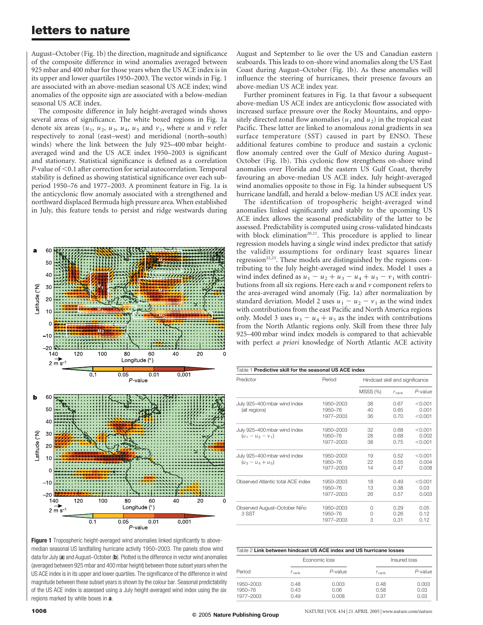### letters to nature

August–October (Fig. 1b) the direction, magnitude and significance of the composite difference in wind anomalies averaged between 925 mbar and 400 mbar for those years when the US ACE index is in its upper and lower quartiles 1950–2003. The vector winds in Fig. 1 are associated with an above-median seasonal US ACE index; wind anomalies of the opposite sign are associated with a below-median seasonal US ACE index.

The composite difference in July height-averaged winds shows several areas of significance. The white boxed regions in Fig. 1a denote six areas  $(u_1, u_2, u_3, u_4, u_5, u_6, u_7)$ , where u and v refer respectively to zonal (east–west) and meridional (north–south) winds) where the link between the July 925–400 mbar heightaveraged wind and the US ACE index 1950–2003 is significant and stationary. Statistical significance is defined as a correlation  $P$ -value of  $<$  0.1 after correction for serial autocorrelation. Temporal stability is defined as showing statistical significance over each subperiod 1950–76 and 1977–2003. A prominent feature in Fig. 1a is the anticyclonic flow anomaly associated with a strengthened and northward displaced Bermuda high pressure area. When established in July, this feature tends to persist and ridge westwards during



August and September to lie over the US and Canadian eastern seaboards. This leads to on-shore wind anomalies along the US East Coast during August–October (Fig. 1b). As these anomalies will influence the steering of hurricanes, their presence favours an above-median US ACE index year.

Further prominent features in Fig. 1a that favour a subsequent above-median US ACE index are anticyclonic flow associated with increased surface pressure over the Rocky Mountains, and oppositely directed zonal flow anomalies  $(u_1$  and  $u_2)$  in the tropical east Pacific. These latter are linked to anomalous zonal gradients in sea surface temperature (SST) caused in part by ENSO. These additional features combine to produce and sustain a cyclonic flow anomaly centred over the Gulf of Mexico during August– October (Fig. 1b). This cyclonic flow strengthens on-shore wind anomalies over Florida and the eastern US Gulf Coast, thereby favouring an above-median US ACE index. July height-averaged wind anomalies opposite to those in Fig. 1a hinder subsequent US hurricane landfall, and herald a below-median US ACE index year.

The identification of tropospheric height-averaged wind anomalies linked significantly and stably to the upcoming US ACE index allows the seasonal predictability of the latter to be assessed. Predictability is computed using cross-validated hindcasts with block elimination<sup>20,21</sup>. This procedure is applied to linear regression models having a single wind index predictor that satisfy the validity assumptions for ordinary least squares linear regression<sup>22,23</sup>. These models are distinguished by the regions contributing to the July height-averaged wind index. Model 1 uses a wind index defined as  $u_1 - u_2 + u_3 - u_4 + u_5 - v_1$  with contributions from all six regions. Here each  $u$  and  $v$  component refers to the area-averaged wind anomaly (Fig. 1a) after normalization by standard deviation. Model 2 uses  $u_1 - u_2 - v_1$  as the wind index with contributions from the east Pacific and North America regions only. Model 3 uses  $u_3 - u_4 + u_5$  as the index with contributions from the North Atlantic regions only. Skill from these three July 925–400 mbar wind index models is compared to that achievable with perfect a priori knowledge of North Atlantic ACE activity

| Table 1 Predictive skill for the seasonal US ACE index |                                   |                                 |                      |                             |  |  |
|--------------------------------------------------------|-----------------------------------|---------------------------------|----------------------|-----------------------------|--|--|
| Predictor                                              | Period                            | Hindcast skill and significance |                      |                             |  |  |
|                                                        |                                   | <b>MSSS (%)</b>                 | $r_{\rm rank}$       | P-value                     |  |  |
| July 925-400 mbar wind index<br>(all regions)          | 1950-2003<br>1950-76<br>1977-2003 | 38<br>40<br>36                  | 0.67<br>0.65<br>0.70 | < 0.001<br>0.001<br>< 0.001 |  |  |
| July 925-400 mbar wind index<br>$(u_1 - u_2 - v_1)$    | 1950-2003<br>1950-76<br>1977-2003 | 32<br>28<br>38                  | 0.68<br>0.68<br>0.75 | < 0.001<br>0.002<br>< 0.001 |  |  |
| July 925-400 mbar wind index<br>$(u_3 - u_4 + u_5)$    | 1950-2003<br>1950-76<br>1977-2003 | 19<br>22<br>14                  | 0.52<br>0.55<br>0.47 | < 0.001<br>0.004<br>0.008   |  |  |
| Observed Atlantic total ACE index                      | 1950-2003<br>1950-76<br>1977-2003 | 18<br>13<br>26                  | 0.49<br>0.38<br>0.57 | < 0.001<br>0.03<br>0.003    |  |  |
| Observed August-October Niño<br>3 SST                  | 1950-2003<br>1950-76<br>1977-2003 | O<br>$^{()}$<br>3               | 0.29<br>0.26<br>0.31 | 0.05<br>0.12<br>0.12        |  |  |

Figure 1 Tropospheric height-averaged wind anomalies linked significantly to abovemedian seasonal US landfalling hurricane activity 1950–2003. The panels show wind data for July (a) and August–October (b). Plotted is the difference in vector wind anomalies (averaged between 925 mbar and 400 mbar height) between those subset years when the US ACE index is in its upper and lower quartiles. The significance of the difference in wind magnitude between these subset years is shown by the colour bar. Seasonal predictability of the US ACE index is assessed using a July height-averaged wind index using the six regions marked by white boxes in **a**.

| Table 2 Link between hindcast US ACE index and US hurricane losses |                      |                         |                      |                       |  |  |  |  |
|--------------------------------------------------------------------|----------------------|-------------------------|----------------------|-----------------------|--|--|--|--|
|                                                                    |                      | Fconomic loss           | Insured loss         |                       |  |  |  |  |
| Period                                                             | $r_{\rm rank}$       | $P$ -value              | $r_{\rm rank}$       | P-value               |  |  |  |  |
| 1950-2003<br>1950-76<br>1977-2003                                  | 0.48<br>በ 43<br>በ 49 | O 003<br>0. OG<br>N UUS | 0.48<br>0.58<br>በ 37 | O 003<br>O 03<br>N U3 |  |  |  |  |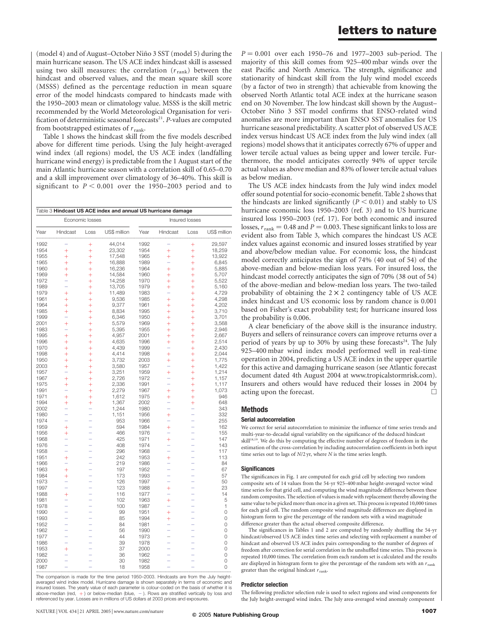(model 4) and of August–October Niño 3 SST (model 5) during the main hurricane season. The US ACE index hindcast skill is assessed using two skill measures: the correlation  $(r_{\text{rank}})$  between the hindcast and observed values, and the mean square skill score (MSSS) defined as the percentage reduction in mean square error of the model hindcasts compared to hindcasts made with the 1950–2003 mean or climatology value. MSSS is the skill metric recommended by the World Meteorological Organisation for verification of deterministic seasonal forecasts<sup>21</sup>. P-values are computed from bootstrapped estimates of  $r_{\text{rank}}$ .

Table 1 shows the hindcast skill from the five models described above for different time periods. Using the July height-averaged wind index (all regions) model, the US ACE index (landfalling hurricane wind energy) is predictable from the 1 August start of the main Atlantic hurricane season with a correlation skill of 0.65–0.70 and a skill improvement over climatology of 36–40%. This skill is significant to  $P < 0.001$  over the 1950–2003 period and to

|                 | Table 3 Hindcast US ACE index and annual US hurricane damage |           |                |      |                |           |              |  |  |
|-----------------|--------------------------------------------------------------|-----------|----------------|------|----------------|-----------|--------------|--|--|
| Economic losses |                                                              |           | Insured losses |      |                |           |              |  |  |
| Year            | Hindcast                                                     | Loss      | US\$ million   | Year | Hindcast       | Loss      | US\$ million |  |  |
| 1992            |                                                              | $\ddot{}$ | 44,014         | 1992 |                | $\ddot{}$ | 29,597       |  |  |
| 1954            | $\ddot{}$                                                    | $^{+}$    | 23,302         | 1954 | $\ddot{}$      | $\ddot{}$ | 18,259       |  |  |
| 1955            | $\ddot{}$                                                    | $\ddot{}$ | 17,548         | 1965 | $\ddot{}$      | $\ddot{}$ | 13,922       |  |  |
| 1965            | $^{+}$                                                       | $^{+}$    | 16,888         | 1989 | -              | $\ddot{}$ | 6,845        |  |  |
| 1960            | $^{+}$                                                       | $+$       | 16,236         | 1964 | $\ddot{}$      | $\ddot{}$ | 5,885        |  |  |
| 1969            | $\ddot{}$                                                    | $^{+}$    | 14,584         | 1960 | $\overline{+}$ | $\ddot{}$ | 5,707        |  |  |
| 1972            |                                                              | $+$       | 14,258         | 1970 | $\ddot{}$      | $+$       | 5,522        |  |  |
| 1989            |                                                              | $\ddot{}$ | 13,705         | 1979 | $\ddot{}$      | $\ddot{}$ | 5,160        |  |  |
| 1979            | $\ddot{}$                                                    | $\ddot{}$ | 11,489         | 1983 |                | $^{+}$    | 4,729        |  |  |
| 1961            | $^{+}$                                                       | $+$       | 9,536          | 1985 | $\ddot{}$      | $\ddot{}$ | 4,298        |  |  |
| 1964            | $\ddot{}$                                                    | $\ddot{}$ | 9,377          | 1961 | Ŧ              | $^{+}$    | 4,202        |  |  |
| 1985            | $^{+}$                                                       | $^{+}$    | 8,834          | 1995 | $\ddot{}$      | $\ddot{}$ | 3,710        |  |  |
| 1999            |                                                              | $\ddot{}$ | 6,346          | 1950 | $\ddot{}$      | $\ddot{}$ | 3,701        |  |  |
| 2001            | $\ddot{}$                                                    | $+$       | 5,579          | 1969 | $\ddot{}$      | $\ddot{}$ | 3,568        |  |  |
| 1983            |                                                              | $^{+}$    | 5,395          | 1955 | $\overline{+}$ | $\ddot{}$ | 2,946        |  |  |
| 1995            | $\ddot{}$                                                    | $\ddot{}$ | 4,957          | 2001 | $\overline{+}$ | $\ddot{}$ | 2,667        |  |  |
| 1996            | $\ddot{}$                                                    | $\ddot{}$ | 4,635          | 1996 | $\ddot{}$      | $\ddot{}$ | 2,514        |  |  |
| 1970            | $\ddot{}$                                                    | $\ddot{}$ | 4,439          | 1999 |                |           | 2,430        |  |  |
|                 |                                                              |           |                |      |                | $^{+}$    |              |  |  |
| 1998            | $\ddot{}$                                                    | $\ddot{}$ | 4,414          | 1998 | Ŧ              | $\ddot{}$ | 2,044        |  |  |
| 1950            | $^{+}$                                                       | $^{+}$    | 3,732          | 2003 | $\ddot{}$      | $\ddot{}$ | 1,775        |  |  |
| 2003            | $\ddot{}$                                                    | $\ddot{}$ | 3,580          | 1957 |                | $\ddot{}$ | 1,422        |  |  |
| 1957            | -                                                            | $\ddot{}$ | 3,251          | 1959 | $\ddot{}$      | $+$       | 1,214        |  |  |
| 1967            | $\ddot{}$                                                    | $^{+}$    | 2,726          | 1972 |                | $\ddot{}$ | 1,157        |  |  |
| 1975            | $\ddot{}$                                                    | $\ddot{}$ | 2,336          | 1991 |                | $\ddot{}$ | 1,117        |  |  |
| 1991            |                                                              | $\ddot{}$ | 2,279          | 1967 | $\ddot{}$      | $\ddot{}$ | 1,073        |  |  |
| 1971            | $\ddot{}$                                                    | $\ddot{}$ | 1,612          | 1975 | Ŧ              | $\ddot{}$ | 946          |  |  |
| 1994            | $^{+}$                                                       | $\ddot{}$ | 1,367          | 2002 |                | $\ddot{}$ | 648          |  |  |
| 2002            | -                                                            |           | 1,244          | 1980 |                | -         | 343          |  |  |
| 1980            |                                                              |           | 1,151          | 1956 | Ŧ              |           | 332          |  |  |
| 1974            |                                                              |           | 953            | 1966 |                |           | 255          |  |  |
| 1959            | $\ddot{}$                                                    |           | 594            | 1984 | $\ddot{}$      |           | 162          |  |  |
| 1956            | $\ddot{}$                                                    |           | 466            | 1976 |                |           | 155          |  |  |
| 1968            |                                                              |           | 425            | 1971 | $\ddot{}$      |           | 147          |  |  |
| 1976            |                                                              |           | 408            | 1974 |                |           | 143          |  |  |
| 1958            |                                                              |           | 296            | 1968 |                |           | 117          |  |  |
| 1951            | $^{+}$                                                       |           | 242            | 1953 | $\ddot{}$      |           | 113          |  |  |
| 1966            |                                                              |           | 219            | 1986 |                |           | 84           |  |  |
| 1963            | $\ddot{}$                                                    |           | 197            | 1952 |                |           | 67           |  |  |
| 1984            | $^{+}$                                                       |           | 173            | 1993 |                |           | 57           |  |  |
| 1973            |                                                              |           | 126            | 1997 |                |           | 50           |  |  |
| 1997            | ÷                                                            |           | 123            | 1988 | $\ddot{}$      |           | 23           |  |  |
| 1988            | $\ddot{}$                                                    |           | 116            | 1977 |                |           | 14           |  |  |
| 1981            |                                                              |           | 102            | 1963 | $\ddot{}$      |           | 5            |  |  |
| 1978            |                                                              |           | 100            | 1987 |                |           | 1            |  |  |
| 1990            | L                                                            |           | 99             | 1951 | $\ddot{}$      |           | 0            |  |  |
| 1993            |                                                              |           | 85             | 1994 | ╇              |           | 0            |  |  |
| 1952            |                                                              |           | 84             | 1981 |                |           | 0            |  |  |
| 1962            |                                                              |           | 56             | 1990 |                |           | 0            |  |  |
| 1977            |                                                              |           | 44             | 1973 |                |           | 0            |  |  |
| 1986            |                                                              |           | 39             | 1978 |                |           | 0            |  |  |
| 1953            | $\ddot{}$                                                    |           | 37             | 2000 |                |           | 0            |  |  |
| 1982            |                                                              |           | 36             | 1962 |                |           | 0            |  |  |
| 2000            |                                                              |           | 30             | 1982 |                |           | 0            |  |  |
| 1987            |                                                              |           | 18             | 1958 |                |           | 0            |  |  |
|                 |                                                              |           |                |      |                |           |              |  |  |

The comparison is made for the time period 1950–2003. Hindcasts are from the July heightaveraged wind index model. Hurricane damage is shown separately in terms of economic and insured losses. The yearly value of each parameter is colour-coded on the basis of whether it is above-median (red,  $+$  ) or below-median (blue,  $-$  ). Rows are stratified vertically by loss and referenced by year. Losses are in millions of US dollars at 2003 prices and exposures.

 $P = 0.001$  over each 1950–76 and 1977–2003 sub-period. The majority of this skill comes from 925–400 mbar winds over the east Pacific and North America. The strength, significance and stationarity of hindcast skill from the July wind model exceeds (by a factor of two in strength) that achievable from knowing the observed North Atlantic total ACE index at the hurricane season end on 30 November. The low hindcast skill shown by the August– October Niño 3 SST model confirms that ENSO-related wind anomalies are more important than ENSO SST anomalies for US hurricane seasonal predictability. A scatter plot of observed US ACE index versus hindcast US ACE index from the July wind index (all regions) model shows that it anticipates correctly 67% of upper and lower tercile actual values as being upper and lower tercile. Furthermore, the model anticipates correctly 94% of upper tercile actual values as above median and 83% of lower tercile actual values as below median.

The US ACE index hindcasts from the July wind index model offer sound potential for socio-economic benefit. Table 2 shows that the hindcasts are linked significantly ( $P < 0.01$ ) and stably to US hurricane economic loss 1950–2003 (ref. 3) and to US hurricane insured loss 1950–2003 (ref. 17). For both economic and insured losses,  $r_{\text{rank}} = 0.48$  and  $P = 0.003$ . These significant links to loss are evident also from Table 3, which compares the hindcast US ACE index values against economic and insured losses stratified by year and above/below median value. For economic loss, the hindcast model correctly anticipates the sign of 74% (40 out of 54) of the above-median and below-median loss years. For insured loss, the hindcast model correctly anticipates the sign of 70% (38 out of 54) of the above-median and below-median loss years. The two-tailed probability of obtaining the  $2 \times 2$  contingency table of US ACE index hindcast and US economic loss by random chance is 0.001 based on Fisher's exact probability test; for hurricane insured loss the probability is 0.006.

A clear beneficiary of the above skill is the insurance industry. Buyers and sellers of reinsurance covers can improve returns over a period of years by up to 30% by using these forecasts<sup>24</sup>. The July 925–400 mbar wind index model performed well in real-time operation in 2004, predicting a US ACE index in the upper quartile for this active and damaging hurricane season (see Atlantic forecast document dated 4th August 2004 at www.tropicalstormrisk.com). Insurers and others would have reduced their losses in 2004 by acting upon the forecast.  $\Box$ 

### Methods

### Serial autocorrelation

We correct for serial autocorrelation to minimize the influence of time series trends and multi-year-to-decadal signal variability on the significance of the deduced hindcast skill<sup>18,19</sup>. We do this by computing the effective number of degrees of freedom in the estimation of the cross-correlation by including autocorrelation coefficients in both input time series out to lags of N/2 yr, where N is the time series length.

### **Significances**

The significances in Fig. 1 are computed for each grid cell by selecting two random composite sets of 14 values from the 54-yr 925–400 mbar height-averaged vector wind time series for that grid cell, and computing the wind magnitude difference between these random composites. The selection of values is made with replacement thereby allowing the same value to be picked more than once in a given set. This process is repeated 10,000 times for each grid cell. The random composite wind magnitude differences are displayed in histogram form to give the percentage of the random sets with a wind magnitude difference greater than the actual observed composite difference.

The significances in Tables 1 and 2 are computed by randomly shuffling the 54-yr hindcast/observed US ACE index time series and selecting with replacement a number of hindcast and observed US ACE index pairs corresponding to the number of degrees of freedom after correction for serial correlation in the unshuffled time series. This process is repeated 10,000 times. The correlation from each random set is calculated and the results are displayed in histogram form to give the percentage of the random sets with an  $r_{\rm rank}$ greater than the original hindcast  $r_{\text{rank}}$ .

### Predictor selection

The following predictor selection rule is used to select regions and wind components for the July height-averaged wind index. The July area-averaged wind anomaly component